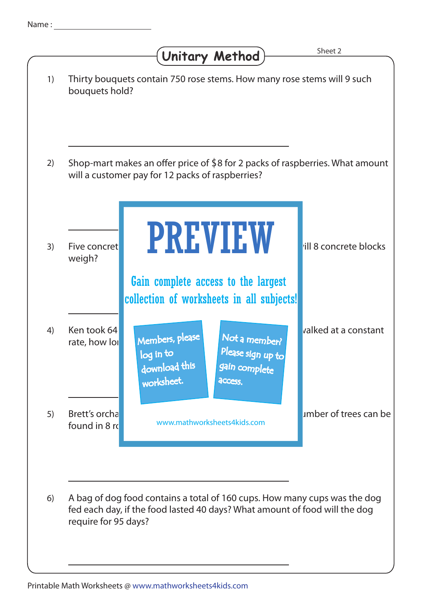